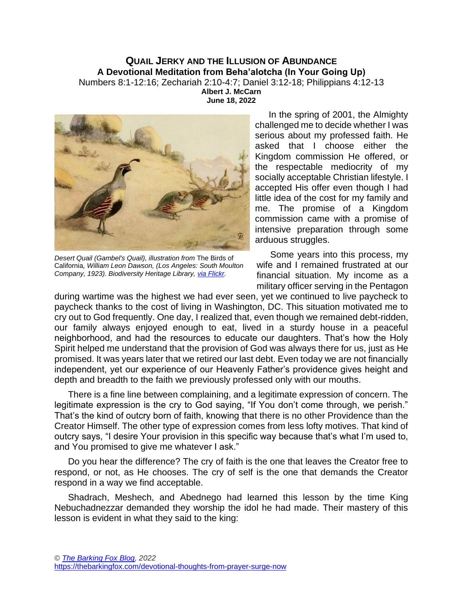## **QUAIL JERKY AND THE ILLUSION OF ABUNDANCE A Devotional Meditation from Beha'alotcha (In Your Going Up)** Numbers 8:1-12:16; Zechariah 2:10-4:7; Daniel 3:12-18; Philippians 4:12-13 **Albert J. McCarn June 18, 2022**



*Desert Quail (Gambel's Quail), illustration from* The Birds of California*, William Leon Dawson, (Los Angeles: South Moulton Company, 1923). Biodiversity Heritage Library, [via Flickr.](https://flickr.com/photos/biodivlibrary/50368940416/in/photolist-2jJVZab-2j6ETnn-ypHm5r-yaGPLE-XpE1Nu-rQ4Hr6-zjhy8j-2nffSTv-2kYXgjy-qyiaua-k2DQNd-susojk-Ky5DwJ-2j3t924-2ngtrtZ-wP5pAY-sGVMPq-suhmHd-rPSfWq-rPSKku-sLTomR-rPSSYW-WezLxr-sLU8sz-wiAjZh-2jskqbk-sLU1zg-Kcpt3t-Kcpq16-28M2yWb-od46Va-KcpqXX-2ngmR1f-oeYHTx-2kZTDJr-2kZV8Xz-XWvdWq-2kZPGTY-2kZPGH2-2kZL5oL-2kZPGMA-2kZQNDf-2kZPHnP-2kZQNUv-2jJSo1B-otxWTT-oeZycB-WJXPDh-Y1Ha9X-ovdx3F/)*

In the spring of 2001, the Almighty challenged me to decide whether I was serious about my professed faith. He asked that I choose either the Kingdom commission He offered, or the respectable mediocrity of my socially acceptable Christian lifestyle. I accepted His offer even though I had little idea of the cost for my family and me. The promise of a Kingdom commission came with a promise of intensive preparation through some arduous struggles.

Some years into this process, my wife and I remained frustrated at our financial situation. My income as a military officer serving in the Pentagon

during wartime was the highest we had ever seen, yet we continued to live paycheck to paycheck thanks to the cost of living in Washington, DC. This situation motivated me to cry out to God frequently. One day, I realized that, even though we remained debt-ridden, our family always enjoyed enough to eat, lived in a sturdy house in a peaceful neighborhood, and had the resources to educate our daughters. That's how the Holy Spirit helped me understand that the provision of God was always there for us, just as He promised. It was years later that we retired our last debt. Even today we are not financially independent, yet our experience of our Heavenly Father's providence gives height and depth and breadth to the faith we previously professed only with our mouths.

There is a fine line between complaining, and a legitimate expression of concern. The legitimate expression is the cry to God saying, "If You don't come through, we perish." That's the kind of outcry born of faith, knowing that there is no other Providence than the Creator Himself. The other type of expression comes from less lofty motives. That kind of outcry says, "I desire Your provision in this specific way because that's what I'm used to, and You promised to give me whatever I ask."

Do you hear the difference? The cry of faith is the one that leaves the Creator free to respond, or not, as He chooses. The cry of self is the one that demands the Creator respond in a way we find acceptable.

Shadrach, Meshech, and Abednego had learned this lesson by the time King Nebuchadnezzar demanded they worship the idol he had made. Their mastery of this lesson is evident in what they said to the king: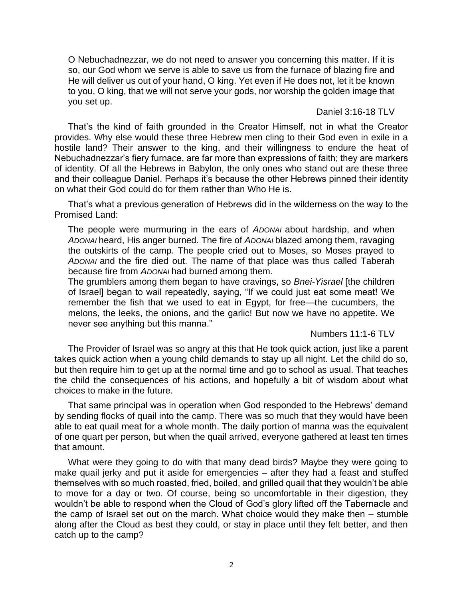O Nebuchadnezzar, we do not need to answer you concerning this matter. If it is so, our God whom we serve is able to save us from the furnace of blazing fire and He will deliver us out of your hand, O king. Yet even if He does not, let it be known to you, O king, that we will not serve your gods, nor worship the golden image that you set up.

## Daniel 3:16-18 TLV

That's the kind of faith grounded in the Creator Himself, not in what the Creator provides. Why else would these three Hebrew men cling to their God even in exile in a hostile land? Their answer to the king, and their willingness to endure the heat of Nebuchadnezzar's fiery furnace, are far more than expressions of faith; they are markers of identity. Of all the Hebrews in Babylon, the only ones who stand out are these three and their colleague Daniel. Perhaps it's because the other Hebrews pinned their identity on what their God could do for them rather than Who He is.

That's what a previous generation of Hebrews did in the wilderness on the way to the Promised Land:

The people were murmuring in the ears of *ADONAI* about hardship, and when *ADONAI* heard, His anger burned. The fire of *ADONAI* blazed among them, ravaging the outskirts of the camp. The people cried out to Moses, so Moses prayed to *ADONAI* and the fire died out. The name of that place was thus called Taberah because fire from *ADONAI* had burned among them.

The grumblers among them began to have cravings, so *Bnei-Yisrael* [the children of Israel] began to wail repeatedly, saying, "If we could just eat some meat! We remember the fish that we used to eat in Egypt, for free—the cucumbers, the melons, the leeks, the onions, and the garlic! But now we have no appetite. We never see anything but this manna."

## Numbers 11:1-6 TLV

The Provider of Israel was so angry at this that He took quick action, just like a parent takes quick action when a young child demands to stay up all night. Let the child do so, but then require him to get up at the normal time and go to school as usual. That teaches the child the consequences of his actions, and hopefully a bit of wisdom about what choices to make in the future.

That same principal was in operation when God responded to the Hebrews' demand by sending flocks of quail into the camp. There was so much that they would have been able to eat quail meat for a whole month. The daily portion of manna was the equivalent of one quart per person, but when the quail arrived, everyone gathered at least ten times that amount.

What were they going to do with that many dead birds? Maybe they were going to make quail jerky and put it aside for emergencies – after they had a feast and stuffed themselves with so much roasted, fried, boiled, and grilled quail that they wouldn't be able to move for a day or two. Of course, being so uncomfortable in their digestion, they wouldn't be able to respond when the Cloud of God's glory lifted off the Tabernacle and the camp of Israel set out on the march. What choice would they make then – stumble along after the Cloud as best they could, or stay in place until they felt better, and then catch up to the camp?